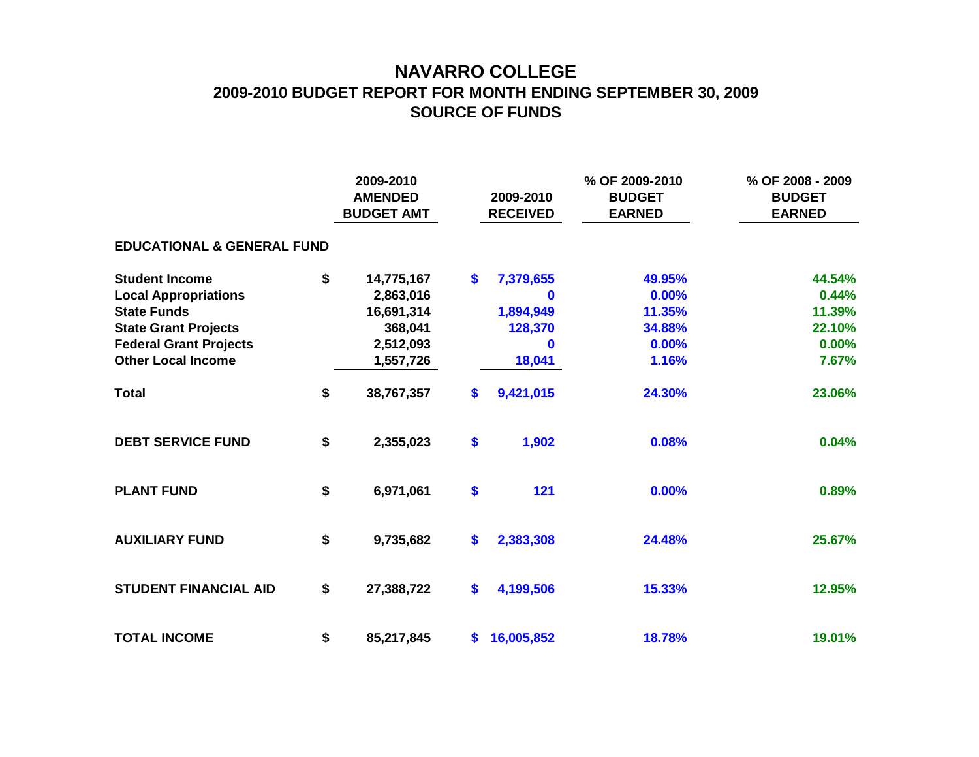## **NAVARRO COLLEGE 2009-2010 BUDGET REPORT FOR MONTH ENDING SEPTEMBER 30, 2009 SOURCE OF FUNDS**

|                                       |    | 2009-2010<br><b>AMENDED</b><br><b>BUDGET AMT</b> | 2009-2010<br><b>RECEIVED</b> | % OF 2009-2010<br><b>BUDGET</b><br><b>EARNED</b> | % OF 2008 - 2009<br><b>BUDGET</b><br><b>EARNED</b> |
|---------------------------------------|----|--------------------------------------------------|------------------------------|--------------------------------------------------|----------------------------------------------------|
| <b>EDUCATIONAL &amp; GENERAL FUND</b> |    |                                                  |                              |                                                  |                                                    |
| <b>Student Income</b>                 | \$ | 14,775,167                                       | \$<br>7,379,655              | 49.95%                                           | 44.54%                                             |
| <b>Local Appropriations</b>           |    | 2,863,016                                        | $\mathbf 0$                  | 0.00%                                            | 0.44%                                              |
| <b>State Funds</b>                    |    | 16,691,314                                       | 1,894,949                    | 11.35%                                           | 11.39%                                             |
| <b>State Grant Projects</b>           |    | 368,041                                          | 128,370                      | 34.88%                                           | 22.10%                                             |
| <b>Federal Grant Projects</b>         |    | 2,512,093                                        |                              | 0.00%                                            | $0.00\%$                                           |
| <b>Other Local Income</b>             |    | 1,557,726                                        | 18,041                       | 1.16%                                            | 7.67%                                              |
| <b>Total</b>                          | \$ | 38,767,357                                       | \$<br>9,421,015              | 24.30%                                           | 23.06%                                             |
| <b>DEBT SERVICE FUND</b>              | \$ | 2,355,023                                        | \$<br>1,902                  | 0.08%                                            | 0.04%                                              |
| <b>PLANT FUND</b>                     | \$ | 6,971,061                                        | \$<br>121                    | 0.00%                                            | 0.89%                                              |
| <b>AUXILIARY FUND</b>                 | \$ | 9,735,682                                        | \$<br>2,383,308              | 24.48%                                           | 25.67%                                             |
| <b>STUDENT FINANCIAL AID</b>          | \$ | 27,388,722                                       | \$<br>4,199,506              | 15.33%                                           | 12.95%                                             |
| <b>TOTAL INCOME</b>                   | \$ | 85,217,845                                       | \$<br>16,005,852             | 18.78%                                           | 19.01%                                             |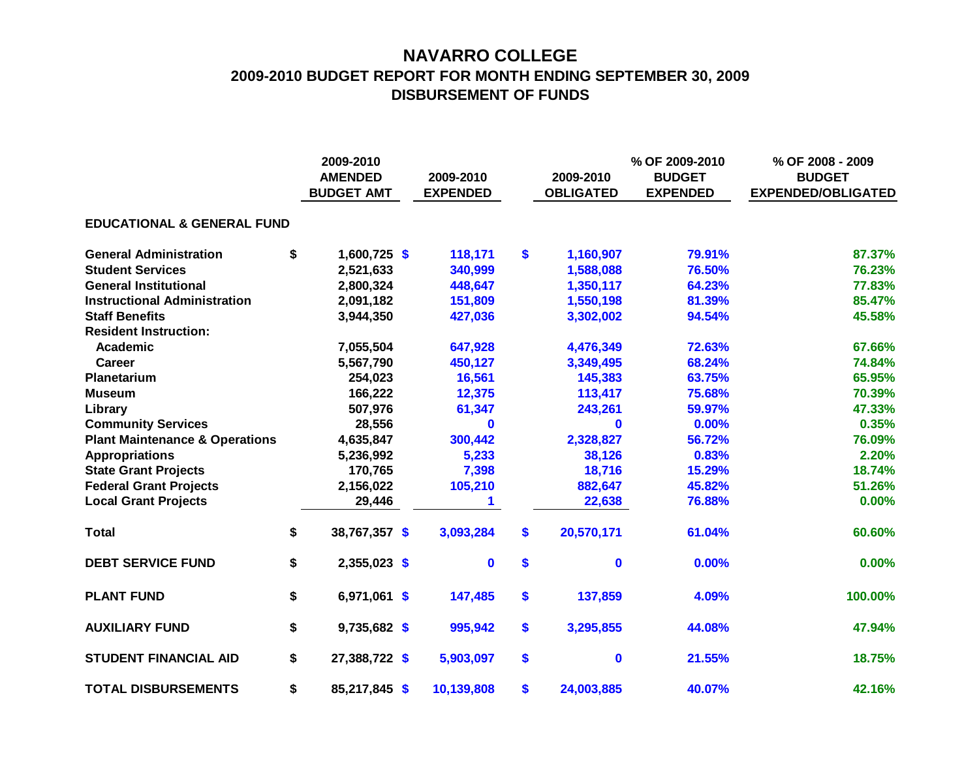## **NAVARRO COLLEGE 2009-2010 BUDGET REPORT FOR MONTH ENDING SEPTEMBER 30, 2009 DISBURSEMENT OF FUNDS**

|                                           |    | 2009-2010<br><b>AMENDED</b><br><b>BUDGET AMT</b> |  | 2009-2010<br><b>EXPENDED</b> |    | 2009-2010<br><b>OBLIGATED</b> | % OF 2009-2010<br><b>BUDGET</b><br><b>EXPENDED</b> | % OF 2008 - 2009<br><b>BUDGET</b><br><b>EXPENDED/OBLIGATED</b> |  |
|-------------------------------------------|----|--------------------------------------------------|--|------------------------------|----|-------------------------------|----------------------------------------------------|----------------------------------------------------------------|--|
| <b>EDUCATIONAL &amp; GENERAL FUND</b>     |    |                                                  |  |                              |    |                               |                                                    |                                                                |  |
| <b>General Administration</b>             | \$ | $1,600,725$ \$                                   |  | 118,171                      | \$ | 1,160,907                     | 79.91%                                             | 87.37%                                                         |  |
| <b>Student Services</b>                   |    | 2,521,633                                        |  | 340,999                      |    | 1,588,088                     | 76.50%                                             | 76.23%                                                         |  |
| <b>General Institutional</b>              |    | 2,800,324                                        |  | 448,647                      |    | 1,350,117                     | 64.23%                                             | 77.83%                                                         |  |
| <b>Instructional Administration</b>       |    | 2,091,182                                        |  | 151,809                      |    | 1,550,198                     | 81.39%                                             | 85.47%                                                         |  |
| <b>Staff Benefits</b>                     |    | 3,944,350                                        |  | 427,036                      |    | 3,302,002                     | 94.54%                                             | 45.58%                                                         |  |
| <b>Resident Instruction:</b>              |    |                                                  |  |                              |    |                               |                                                    |                                                                |  |
| Academic                                  |    | 7,055,504                                        |  | 647,928                      |    | 4,476,349                     | 72.63%                                             | 67.66%                                                         |  |
| <b>Career</b>                             |    | 5,567,790                                        |  | 450,127                      |    | 3,349,495                     | 68.24%                                             | 74.84%                                                         |  |
| Planetarium                               |    | 254,023                                          |  | 16,561                       |    | 145,383                       | 63.75%                                             | 65.95%                                                         |  |
| <b>Museum</b>                             |    | 166,222                                          |  | 12,375                       |    | 113,417                       | 75.68%                                             | 70.39%                                                         |  |
| Library                                   |    | 507,976                                          |  | 61,347                       |    | 243,261                       | 59.97%                                             | 47.33%                                                         |  |
| <b>Community Services</b>                 |    | 28,556                                           |  | $\bf{0}$                     |    | $\bf{0}$                      | 0.00%                                              | 0.35%                                                          |  |
| <b>Plant Maintenance &amp; Operations</b> |    | 4,635,847                                        |  | 300,442                      |    | 2,328,827                     | 56.72%                                             | 76.09%                                                         |  |
| <b>Appropriations</b>                     |    | 5,236,992                                        |  | 5,233                        |    | 38,126                        | 0.83%                                              | 2.20%                                                          |  |
| <b>State Grant Projects</b>               |    | 170,765                                          |  | 7,398                        |    | 18,716                        | 15.29%                                             | 18.74%                                                         |  |
| <b>Federal Grant Projects</b>             |    | 2,156,022                                        |  | 105,210                      |    | 882,647                       | 45.82%                                             | 51.26%                                                         |  |
| <b>Local Grant Projects</b>               |    | 29,446                                           |  | 1.                           |    | 22,638                        | 76.88%                                             | 0.00%                                                          |  |
| <b>Total</b>                              | \$ | 38,767,357 \$                                    |  | 3,093,284                    | \$ | 20,570,171                    | 61.04%                                             | 60.60%                                                         |  |
| <b>DEBT SERVICE FUND</b>                  | \$ | 2,355,023 \$                                     |  | $\mathbf 0$                  | \$ | $\mathbf 0$                   | 0.00%                                              | 0.00%                                                          |  |
| <b>PLANT FUND</b>                         | \$ | 6,971,061 \$                                     |  | 147,485                      | \$ | 137,859                       | 4.09%                                              | 100.00%                                                        |  |
| <b>AUXILIARY FUND</b>                     | \$ | $9,735,682$ \$                                   |  | 995,942                      | \$ | 3,295,855                     | 44.08%                                             | 47.94%                                                         |  |
| <b>STUDENT FINANCIAL AID</b>              | \$ | 27,388,722 \$                                    |  | 5,903,097                    | \$ | $\mathbf 0$                   | 21.55%                                             | 18.75%                                                         |  |
| <b>TOTAL DISBURSEMENTS</b>                | \$ | 85,217,845 \$                                    |  | 10,139,808                   | \$ | 24,003,885                    | 40.07%                                             | 42.16%                                                         |  |